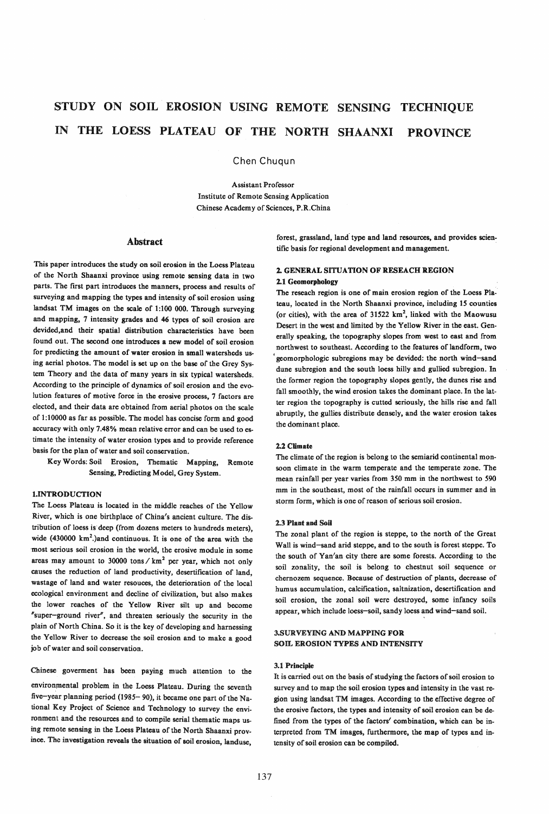# STUDY ON SOIL EROSION USING REMOTE SENSING TECHNIQUE IN THE LOESS PLATEAU OF THE NORTH SHAANXI PROVINCE

Chen Chuqun

Assistant Professor Institute of Remote Sensing Application Chinese Academy of Sciences, P.R.China

#### Abstract

This paper introduces the study on soil erosion in the Loess Plateau of the North Shaanxi province using remote sensing data in two parts. The first part introduces the manners, process and results of surveying and mapping the types and intensity of soil erosion using landsat TM images on the scale of 1:100 000. Through surveying and mapping, 7 intensity grades and 46 types of soil erosion are devided,and their spatial distribution characteristics have been found out. The second one introduces a new model of soil erosion for predicting the amount of water erosion in small watersheds using aerial photos. The model is set up on the base of the Grey System Theory and the data of many years in six typical watersheds. According to the principle of dynamics of soil erosion and the evolution features of motive force in the erosive process. 7 factors are elected, and their data are obtained from aerial photos on the scale of 1: 10000 as far as possible. The model has concise form and good accuracy with only 7.48 % mean relative error and can be used to estimate the intensity of water erosion types and to provide reference basis for the plan of water and soil conservation.

Key Words: Soil Erosion, Thematic Mapping, Remote Sensing, Predicting Model, Grey System.

#### 1.INTRODUCTION

The Loess Plateau is located in the middle reaches of the Yellow River, which is one birthplace of China's ancient culture. The distribution of loess is deep (from dozens meters to hundreds meters), wide (430000 km<sup>2</sup>.)and continuous. It is one of the area with the most serious soil erosion in the world, the erosive module in some areas may amount to 30000 tons  $/\text{km}^2$  per year, which not only causes the reduction of land productivity, desertification of land, wastage of land and water resouces, the deterioration of the local ecological environment and decline of civilization, but also makes the lower reaches of the YeHow River silt up and become "super-ground river", and threaten seriously the security in the plain of North China. So it is the key of developing and harnessing the YeHow River to decrease the soil erosion and to make a good job of water and soil conservation.

Chinese goverment has been paying much attention to the environmental problem in the Loess Plateau. During the seventh five-year planning period (1985- 90), it became one part of the National Key Project of Science and Technology to survey the environment and the resources and to compile serial thematic maps us-

ing remote sensing in the Loess Plateau of the North Shaanxi province. The investigation reveals the situation of soil erosion, landuse, forest, grassland, land-type and land-resources, and provides scientific basis for regional development and management.

# 2. GENERAL SITUATION OF RESEACH REGION 2.1 Geomorphology

The reseach region is one of main erosion region of the Loess Plateau, located in the North Shaanxi province, including 15 counties (or cities), with the area of  $31522 \text{ km}^2$ , linked with the Maowusu Desert in the west and limited by the Yellow River in the east. Generally speaking, the topography slopes from west to east and from northwest to southeast. According to the features of landform, two • geomorphologic subregions may be devided: the north wind-sand dune subregion and the south loess hilly and gullied subregion. In the former region the topography slopes gently, the dunes rise and fall smoothly, the wind erosion takes the dominant place. In the latter region the topography is cutted seriously, the hills rise and fall abruptly, the gullies distribute densely, and the water erosion takes the dominant place.

#### 2.2 Climate

The climate of the region is belong to the semiarid continental monsoon climate in the warm temperate and the temperate zone. The mean rainfall per year varies from 350 mm in the northwest to 590 mm in the southeast, most of the rainfall occurs in summer and in storm form, which is one of reason of serious soil erosion.

#### 2.3 Plant and Soil

The zonal plant of the region is steppe, to the north of the Great Wall is wind-sand arid steppe, and to the south is forest steppe. To the south of Van/an city there are some forests. According to the soil zonality. the soil is belong to chestnut soil sequence or chernozem sequence. Because of destruction of plants, decrease of humus accumulation, calcification, saltnization, desertification and soil erosion, the zonal soil were destroyed, some infancy soils appear, which include loess-soil, sandy loess and wind-sand soil.

#### 3.SURVEYING AND MAPPING FOR SOIL EROSION TYPES AND INTENSITY

#### 3.1 Principle

It is carried out on the basis of studying the factors of soil erosion to survey and to map the soil erosion types and intensity in the vast region using landsat TM images. According to the effective degree of the erosive factors, the types and intensity of soil erosion can be defined from the types of the factors' combination. which can be interpreted from TM images, furthermore. the map of types and intensity of soil erosion can be compiled.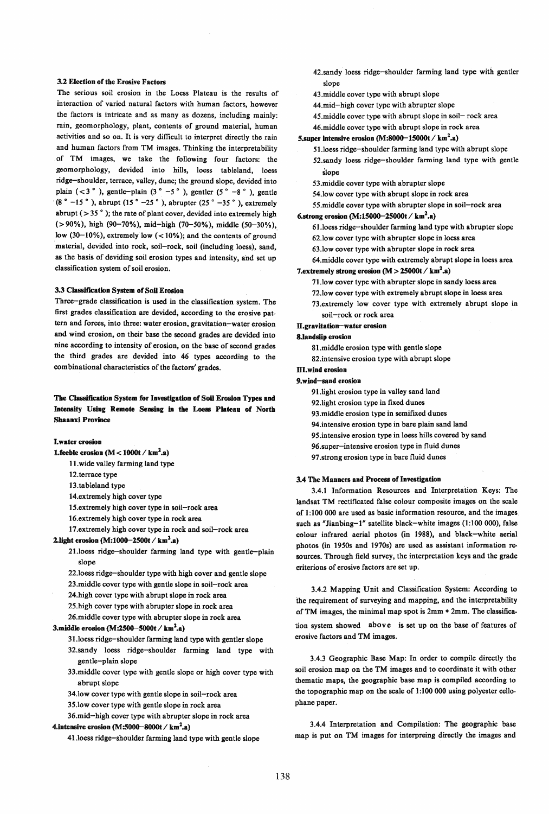#### 3.2 Election of the Erosive Factors

The serious soil erosion in the Loess Plateau is the results of interaction of varied natural factors with human factors, however the factors is intricate and as many as dozens, including mainly: rain, geomorphology, plant, contents of ground material, human activities and so on. It is very difficult to interpret directly the rain and human factors from TM images. Thinking the interpretability of TM images, we take the following four factors: the geomorphology, devided into hills, loess tableland, loess ridge-shoulder, terrace, valley, dune; the ground slope, devided into plain  $( $3°$ ), gentle-plain  $( $3° -5°$ ), gentler  $( $5° -8°$ ), gentle$$$  $(8° -15°)$ , abrupt  $(15° -25°)$ , abrupter  $(25° -35°)$ , extremely abrupt ( $>$  35 $^{\circ}$ ); the rate of plant cover, devided into extremely high (>90%), high (90-70%), mid-high (70-50%), middle (50-30%), low (30-10%), extremely low  $(< 10\%)$ ; and the contents of ground material, devided into rock, soil-rock, soil (including loess), sand, as the basis of deviding soil erosion types and intensity, and set up classification system of soil erosion.

#### 3.3 Classification System of Soil Erosion

Three-grade classification is used in the classification system. The first grades classification are devided, according to the erosive pattern and forces, into three: water erosion, gravitation-water erosion and wind erosion, on their base the second grades are devided into nine according to intensity of erosion, on the base of second grades the third grades are devided into 46 types according to the combinational characteristics of the factors' grades.

#### The Classification System for Investigation of Soil Erosion Types and Intensity Using Remote Sensing in the Loess Plateau of North Shanxi Province

#### I. water erosion

- 1.feeble erosion  $(M < 1000t / km^2.s)$ 
	- 11. wide valley farming land type

12.terrace type

- 13.tableland type
- 14.extremely high cover type
- 15.extremely high cover type in soil-rock area
- 16.extremely high cover type in rock area
- 17.extremely high cover type in rock and soil-rock area

## 2. light erosion (M:1000-2500t / km<sup>2</sup>.a)

- 21.l0ess ridge-shoulder farming land type with gentle-plain slope
- 22.1oess ridge-shoulder type with high cover and gentle slope
- 23.middle cover type with gentle slope in soil-rock area
- 24.high cover type with abrupt slope in rock area
- 25.high cover type with abrupter slope in rock area
- 26.middle cover type with abrupter slope in rock area

#### 3.middle erosion  $(M:2500-5000t / km^2.a)$

- 31.loess ridge-shoulder farming land type with gentler slope
- 32.sandy loess ridge-shoulder farming land type with gentle-plain slope
- 33.middle cover type with gentle slope or high cover type with abrupt slope
- 34.low cover type with gentle slope in soil-rock area
- 35.low cover type with gentle slope in rock area
- 36.mid-high cover type with abrupter slope in rock area

#### 4.intensive erosion (M:5000-8000t /  $km<sup>2</sup>$ .a)

41.loess ridge-shoulder farming land type with gentle slope

- 42.sandy loess ridge-shoulder farming land type with gentler slope
- 43.middle cover type with abrupt slope
- 44.mid-high cover type with abrupter slope
- 45.middle cover type with abrupt slope in soil~ rock area
- 46.middle cover type with abrupt slope in rock area

#### 5. super intensive erosion  $(M:8000-15000t / km^2.a)$

51.l0ess ridge-shoulder farming land type with abrupt slope 52.sandy loess ridge-shoulder farming land type with gentle slope

- 53.middle cover type with abrupter slope
- 54.low cover type with abrupt slope in rock area
- 55.middle cover type with abrupter slope in soil-rock area

#### 6.strong erosion  $(M:15000-25000t / km^2.a)$

- 61.l0ess ridge-shoulder farming land type with abrupter slope 62.low cover type with abrupter slope in loess area
- 63.low cover type with abrupter slope in rock area
- 64.middle cover type with extremely abrupt slope in loess area

#### 7.extremely strong erosion  $(M > 25000t / km<sup>2</sup>.a)$

- 71.1ow cover type with abrupter slope in sandy loess area
- 72.low cover type with extremely abrupt slope in loess area
- 73.extremely low cover type with extremely abrupt slope in soil-rock or rock area
- I1.gravitation-water erosion

# S.landslip erosion

- 
- 81.middle erosion type with gentle slope
- 82.intensive erosion type with abrupt slope

# III. wind erosion

# 9. wind-sand erosion

- 91.light erosion type in valley sand land
- 92.light erosion type in fixed dunes
- 93.middle erosion type in semiftxed dunes
- 94.intensive erosion type in bare plain sand land
- 95.intensive erosion type in loess hills covered by sand
- 96.super-intensive erosion type in fluid dunes
- 97.strong erosion type in bare fluid dunes

#### 3.4 The Manners and Process of Investigation

3.4.1 Information Resources and Interpretation Keys: The landsat TM rectificated false colour composite images on the scale of 1:100 000 are used as basic information resource, and the images such as "Jianbing-l" satellite black-white images (1:100 000), false colour infrared aerial photos (in 1988), and black-white aerial photos (in 1950s and 1970s) are used as assistant information resources. Through field survey, the interpretation keys and the grade criterions of erosive factors are set up.

3.4.2 Mapping Unit and Classification System: According to the requirement of surveying and mapping, and the interpretability of TM images, the minimal map spot is 2mm \* 2mm. The classification system showed above is set up on the base of features of erosive factors and TM images.

3.4.3 Geographic Base Map: In order to compile directly the soil erosion map on the TM images and to coordinate it with other thematic maps, the geographic base map is compiled according to the topographic map on the scale of 1:100 000 using polyester cellophane paper.

3.4.4 Interpretation and Compilation: The geographic base map is put on TM images for interpreing directly the images and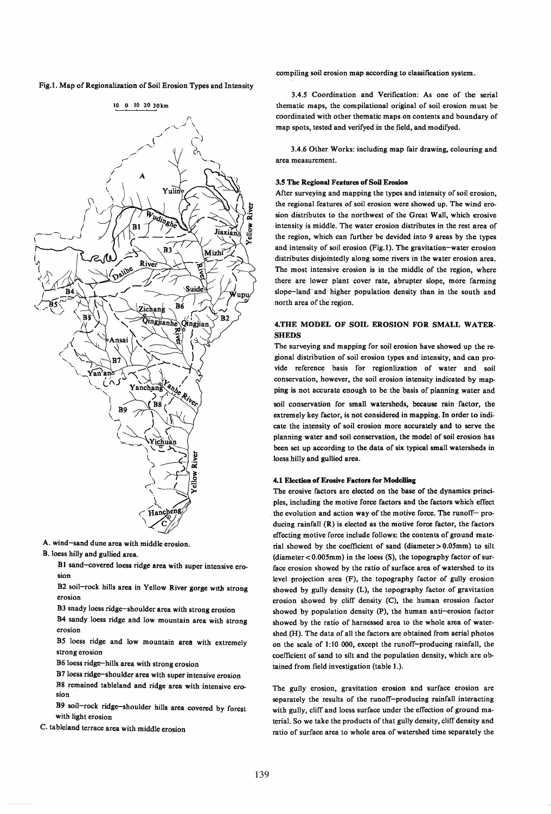Fig.1. Map of Regionalization of Soil Erosion Types and Intensity



A. wind-sand dune area with middle erosion.

B.loess hilly and gullied area.

B1 sand-covered loess ridge area with super intensive erosion

B2 soil-rock hills area in Yellow River gorge witb strong erosion

B3 snady loess ridge-shoulder area with strong erosion

B4 sandy loess ridge and low mountain area with strong erosion

BS loess ridge and low mountain area with extremely strong erosion

B6 loess ridge-hills area with strong erosion

B7 loess ridge-shoulder area with super intensive erosion B8 remained tableland and ridge area with intensive ero. sion

B9 soil-rock ridge-shoulder hills area covered by forest with light erosion

C. tableland terrace area with middle erosion

compiling soil erosion map according to classification system.

3.4.5 Coordination and Verification: As one of the serial thematic maps, the compilational original of soil erosion must be coordinated with other thematic maps on contents and boundary of map spots, tested and verifyed in the field, and modifyed.

3.4.6 Other Works: including map fair drawing, colouring and area measurement.

#### 3.5 The Regional Features of Soil Erosion

After surveying and mapping the types and intensity of soil erosion, the regional features of soil erosion were showed up. The wind erosion distributes to the northwest of the Great Wall, which erosive intensity is middle. The water erosion distributes in the rest area of the region, which can further be devided into 9 areas by the types and intensity of soil erosion (Fig. I). The gravitation-water erosion distributes disjointedly along some rivers in the water erosion area. The most intensive erosion is in the middle of the region, where there are lower plant cover rate, abrupter slope, more farming slope-land' and higher population density than in the south and north area of the region.

### 4.THE MODEL OF SOIL EROSION FOR SMALL WATER-**SHEDS**

The surveying and mapping for soil erosion have showed up the regional distribution of soil erosion types and intensity, and can provide reference basis for regionlization of water and soil conservation, however, the soil erosion intensity indicated by mapping is not accurate enough to be the basis of planning water and

soil conservation for small watersheds, because rain factor, the extremely key factor, is not considered in mapping. In order to indicate the intensity of soil erosion more accurately and to serve the planning water and soil conservation, the model of soil erosion has been set up according to the data of six typical small watersheds in loess hilly and gullied area.

#### 4.1 Election of Erosive Factors for Modelling

The erosive factors are elected on the base of the dynamics principles, including the motive force factors and the factors which effect the evolution and action way of the motive force. The runoff- producing rainfall (R) is elected as the motive force factor, the factors effecting motive force include follows: the contents of ground material showed by the coefficient of sand (diameter  $> 0.05$ mm) to silt (diameter < 0.005mm) in the loess (S), the topography factor of surface erosion showed by the ratio of surface area of watershed to its level projection area (F), the topography factor of gully erosion showed by gully density (L), the topography factor of gravitation erosion showed by cliff density (C), the human erossion factor showed by population density (P), the human anti-erosion factor showed by the ratio of harnessed area to the whole area of watershed (H). The data of all the factors are obtained from aerial photos on the scale of 1:10 000, except the runoff-producing rainfall, the coefficient of sand to silt and the population density, which are obtained from field investigation (table 1.).

The gully erosion, gravitation erosion and surface erosion are separately the results of the runoff-producing rainfall interacting with gully, cliff and loess surface under the effection of ground material. So we take the products of that gully density. cliff density and mtio of surface area to whole area of watershed time separately the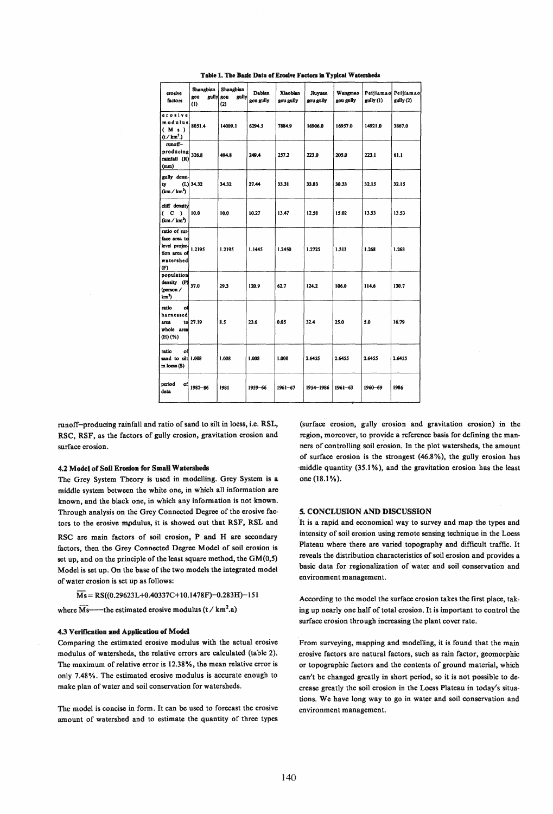| erosive<br>factors                                                                            | Shangbian<br>gou<br>gully<br>(1) | Shangbian<br>gou<br>gully<br>(2) | Dabian<br>gou gully | Xiaobian<br>gou gully | Jiuvuan<br>gou gully | Wangmao<br>gou gully | Peijiamao<br>gully (1) | Peijiamao<br>gully (2) |
|-----------------------------------------------------------------------------------------------|----------------------------------|----------------------------------|---------------------|-----------------------|----------------------|----------------------|------------------------|------------------------|
| erosive<br>modulus<br>(M <sub>s</sub> )<br>(t / km <sup>2</sup> )                             | 8051.4                           | 14009.1                          | 6294.5              | 7884.9                | 16906.0              | 16957.0              | 14921.0                | 3867.0                 |
| runoff-<br>producing<br>rainfall (R)<br>(mm)                                                  | 326.8                            | 494.8                            | 249.4               | 257.2                 | 223.0                | 205.0                | 223.1                  | 61.1                   |
| gully densi-<br>ty<br>(km / km <sup>2</sup> )                                                 | $(L)$ 34.32                      | 34.32                            | 27.44               | 33.31                 | 33.83                | 30.33                | 32.15                  | 32.15                  |
| cliff density<br>C<br>$\lambda$<br>€<br>(km / km <sup>2</sup> )                               | 10.0                             | 10.0                             | 10.27               | 13.47                 | 12.58                | 15.02                | 13.53                  | 13.53                  |
| ratio of sur-<br>face area to<br>level projec-<br>tion area of<br>watershed<br>$(\mathbf{F})$ | 1.2195                           | 1.2195                           | 1.1445              | 1.2450                | 1.2725               | 1.313                | 1.268                  | 1.268                  |
| population<br>density (P)<br>(person /<br>km <sup>2</sup> )                                   | 37.0                             | 29.3                             | 120.9               | 62.7                  | 124.2                | 106.0                | 114.6                  | 130.7                  |
| ratio<br>of<br>harnessed<br>arca<br>whole area<br>$(H)$ (%)                                   | to 27.19                         | 8.5                              | 23.6                | 0.05                  | 32.4                 | 25.0                 | 5.0                    | 16.79                  |
| ratio<br>٥f<br>sand to silt 1.008<br>in loess (S)                                             |                                  | 1.008                            | 1.008               | 1.008                 | 2.6455               | 2.6455               | 2.6455                 | 2.6455                 |
| period<br>оfі<br>data                                                                         | 1982-86                          | 1981                             | 1959-66             | 1961-67               | 1954-1986            | $1961 - 63$          | 1960-69                | 1986                   |

Table 1. The Basic Data of Erosive Factors in Typical Watersheds

runoff-producing rainfall and ratio of sand to silt in loess, i.e. RSL, RSC, RSF, as the factors of gully erosion, gravitation erosion and surface erosion.

#### 4.2 Model of Soil Erosion for Small Watersheds

The Grey System Theory is used in modelling. Grey System is a middle system between the white one, in which all information are known, and the black one, in which any information is not known. Through analysis on the Grey Connected Degree of the erosive factors to the erosive modulus, it is showed out that RSF, RSL and

RSC are main factors of soil erosion, P and H are secondary factors, then the Grey Connected Degree Model of soil erosion is set up, and on the principle of the least square method, the GM(0,5) Model is set up. On the base of the two models the integrated model of water erosion is set up as follows:

 $\overline{M}_s = RS((0.29623L+0.40337C+10.1478F)-0.283H)-151$ 

where  $\widetilde{\text{Ms}}$ —the estimated erosive modulus (t / km<sup>2</sup>.a)

#### 4.3 Verification and Application of Model

Comparing the estimated erosive modulus with the actual erosive modulus of watersheds, the relative errors are calculated (table 2). The maximum of relative error is 12.38%, the mean relative error is only 7.48%. The estimated erosive modulus is accurate enough to make plan of water and soil conservation for watersheds.

The model is concise in form. It can be used to forecast the erosive amount of watershed and to estimate the quantity of three types (surface erosion, gully erosion and gravitation erosion) in the region, moreover, to provide a reference basis for defining the manners of controlling soil erosion. In the plot watersheds, the amount of surface erosion is the strongest (46.8%), the gully erosion has middle quantity (35.1%), and the gravitation erosion has the least one (18.1%).

#### 5. CONCLUSION AND DISCUSSION

It is a rapid and economical way to survey and map the types and intensity of soil erosion using remote sensing technique in the Loess Plateau where there are varied topography and difficult traffic. It reveals the distribution characteristics of soil erosion and provides a basic data for regionalization of water and soil conservation and environment management.

According to the model the surface erosion takes the first place, taking up nearly one half of total erosion. It is important to control the surface erosion through increasing the plant cover rate.

From surveying, mapping and modelling, it is found that the main erosive factors are natural factors, such as rain factor, geomorphic or topographic factors and the contents of ground material, which can't be changed greatly in short period, so it is not possible to decrease greatly the soil erosion in the Loess Plateau in today's situations. We have long way to go in water and soil conservation and environment management.